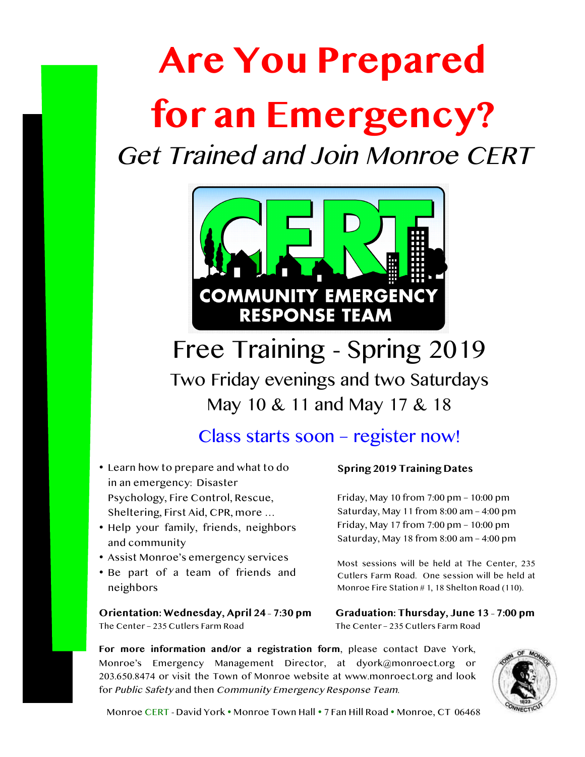# **Are You Prepared for an Emergency?**

Get Trained and Join Monroe CERT



Free Training - Spring 2019 Two Friday evenings and two Saturdays May 10 & 11 and May 17 & 18

## Class starts soon – register now!

- Learn how to prepare and what to do in an emergency: Disaster Psychology, Fire Control, Rescue, Sheltering, First Aid, CPR, more …
- Help your family, friends, neighbors and community
- Assist Monroe's emergency services
- Be part of a team of friends and neighbors

**Orientation: Wednesday, April 24 – 7:30 pm** The Center – 235 Cutlers Farm Road

### **Spring 2019 Training Dates**

Friday, May 10 from 7:00 pm – 10:00 pm Saturday, May 11 from 8:00 am – 4:00 pm Friday, May 17 from 7:00 pm – 10:00 pm Saturday, May 18 from 8:00 am – 4:00 pm

Most sessions will be held at The Center, 235 Cutlers Farm Road. One session will be held at Monroe Fire Station # 1, 18 Shelton Road (110).

**Graduation: Thursday, June 13 – 7:00 pm** The Center – 235 Cutlers Farm Road

**For more information and/or a registration form**, please contact Dave York, Monroe's Emergency Management Director, at dyork@monroect.org or 203.650.8474 or visit the Town of Monroe website at www.monroect.org and look for Public Safety and then Community Emergency Response Team.



Monroe CERT - David York • Monroe Town Hall • 7 Fan Hill Road • Monroe, CT 06468